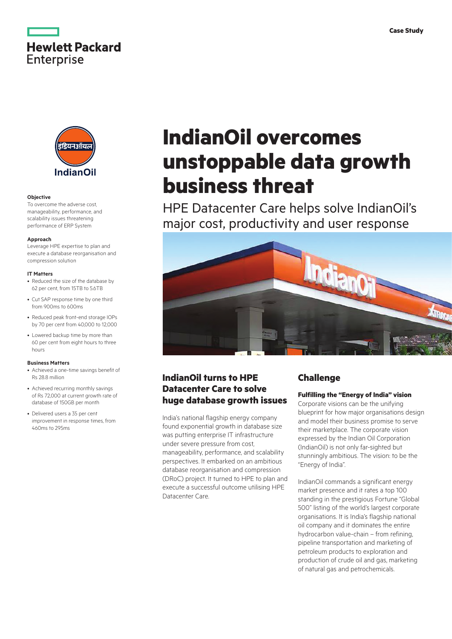



#### **Objective**

To overcome the adverse cost, manageability, performance, and scalability issues threatening performance of ERP System

#### **Approach**

Leverage HPE expertise to plan and execute a database reorganisation and compression solution

#### **IT Matters**

- Reduced the size of the database by 62 per cent, from 15TB to 5.6TB
- Cut SAP response time by one third from 900ms to 600ms
- Reduced peak front-end storage IOPs by 70 per cent from 40,000 to 12,000
- Lowered backup time by more than 60 per cent from eight hours to three hours

#### **Business Matters**

- Achieved a one-time savings benefit of Rs 28.8 million
- Achieved recurring monthly savings of Rs 72,000 at current growth rate of database of 150GB per month
- Delivered users a 35 per cent improvement in response times, from 460ms to 295ms

# **IndianOil overcomes unstoppable data growth business threat**

HPE Datacenter Care helps solve IndianOil's major cost, productivity and user response



# **IndianOil turns to HPE Datacenter Care to solve huge database growth issues**

India's national flagship energy company found exponential growth in database size was putting enterprise IT infrastructure under severe pressure from cost, manageability, performance, and scalability perspectives. It embarked on an ambitious database reorganisation and compression (DRoC) project. It turned to HPE to plan and execute a successful outcome utilising HPE Datacenter Care.

## **Challenge**

## **Fulfilling the "Energy of India" vision**

Corporate visions can be the unifying blueprint for how major organisations design and model their business promise to serve their marketplace. The corporate vision expressed by the Indian Oil Corporation (IndianOil) is not only far-sighted but stunningly ambitious. The vision: to be the "Energy of India".

IndianOil commands a significant energy market presence and it rates a top 100 standing in the prestigious Fortune "Global 500" listing of the world's largest corporate organisations. It is India's flagship national oil company and it dominates the entire hydrocarbon value-chain – from refining, pipeline transportation and marketing of petroleum products to exploration and production of crude oil and gas, marketing of natural gas and petrochemicals.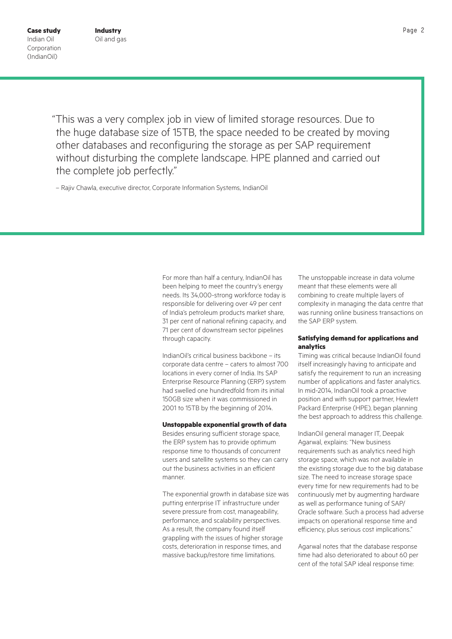"This was a very complex job in view of limited storage resources. Due to the huge database size of 15TB, the space needed to be created by moving other databases and reconfiguring the storage as per SAP requirement without disturbing the complete landscape. HPE planned and carried out the complete job perfectly."

– Rajiv Chawla, executive director, Corporate Information Systems, IndianOil

For more than half a century, IndianOil has been helping to meet the country's energy needs. Its 34,000-strong workforce today is responsible for delivering over 49 per cent of India's petroleum products market share, 31 per cent of national refining capacity, and 71 per cent of downstream sector pipelines through capacity.

IndianOil's critical business backbone – its corporate data centre – caters to almost 700 locations in every corner of India. Its SAP Enterprise Resource Planning (ERP) system had swelled one hundredfold from its initial 150GB size when it was commissioned in 2001 to 15TB by the beginning of 2014.

#### **Unstoppable exponential growth of data**

Besides ensuring sufficient storage space, the ERP system has to provide optimum response time to thousands of concurrent users and satellite systems so they can carry out the business activities in an efficient manner.

The exponential growth in database size was putting enterprise IT infrastructure under severe pressure from cost, manageability, performance, and scalability perspectives. As a result, the company found itself grappling with the issues of higher storage costs, deterioration in response times, and massive backup/restore time limitations.

The unstoppable increase in data volume meant that these elements were all combining to create multiple layers of complexity in managing the data centre that was running online business transactions on the SAP ERP system.

#### **Satisfying demand for applications and analytics**

Timing was critical because IndianOil found itself increasingly having to anticipate and satisfy the requirement to run an increasing number of applications and faster analytics. In mid-2014, IndianOil took a proactive position and with support partner, Hewlett Packard Enterprise (HPE), began planning the best approach to address this challenge.

IndianOil general manager IT, Deepak Agarwal, explains: "New business requirements such as analytics need high storage space, which was not available in the existing storage due to the big database size. The need to increase storage space every time for new requirements had to be continuously met by augmenting hardware as well as performance tuning of SAP/ Oracle software. Such a process had adverse impacts on operational response time and efficiency, plus serious cost implications."

Agarwal notes that the database response time had also deteriorated to about 60 per cent of the total SAP ideal response time: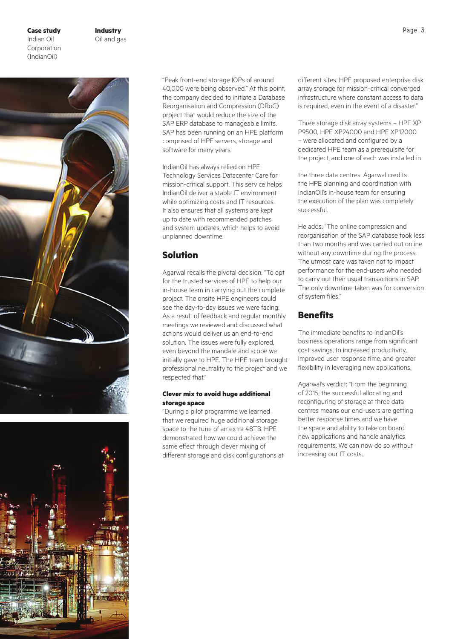## **Case study** Page 3 Indian Oil **Corporation** (IndianOil)





"Peak front-end storage IOPs of around 40,000 were being observed." At this point, the company decided to initiate a Database Reorganisation and Compression (DRoC) project that would reduce the size of the SAP ERP database to manageable limits. SAP has been running on an HPE platform comprised of HPE servers, storage and software for many years.

IndianOil has always relied on HPE Technology Services Datacenter Care for mission-critical support. This service helps IndianOil deliver a stable IT environment while optimizing costs and IT resources. It also ensures that all systems are kept up to date with recommended patches and system updates, which helps to avoid unplanned downtime.

# **Solution**

Agarwal recalls the pivotal decision: "To opt for the trusted services of HPE to help our in-house team in carrying out the complete project. The onsite HPE engineers could see the day-to-day issues we were facing. As a result of feedback and regular monthly meetings we reviewed and discussed what actions would deliver us an end-to-end solution. The issues were fully explored, even beyond the mandate and scope we initially gave to HPE. The HPE team brought professional neutrality to the project and we respected that."

## **Clever mix to avoid huge additional storage space**

"During a pilot programme we learned that we required huge additional storage space to the tune of an extra 48TB. HPE demonstrated how we could achieve the same effect through clever mixing of different storage and disk configurations at different sites. HPE proposed enterprise disk array storage for mission-critical converged infrastructure where constant access to data is required, even in the event of a disaster."

Three storage disk array systems – HPE XP P9500, HPE XP24000 and HPE XP12000 – were allocated and configured by a dedicated HPE team as a prerequisite for the project, and one of each was installed in

the three data centres. Agarwal credits the HPE planning and coordination with IndianOil's in-house team for ensuring the execution of the plan was completely successful.

He adds: "The online compression and reorganisation of the SAP database took less than two months and was carried out online without any downtime during the process. The utmost care was taken not to impact performance for the end-users who needed to carry out their usual transactions in SAP. The only downtime taken was for conversion of system files."

# **Benefits**

The immediate benefits to IndianOil's business operations range from significant cost savings, to increased productivity, improved user response time, and greater flexibility in leveraging new applications.

Agarwal's verdict: "From the beginning of 2015, the successful allocating and reconfiguring of storage at three data centres means our end-users are getting better response times and we have the space and ability to take on board new applications and handle analytics requirements. We can now do so without increasing our IT costs.